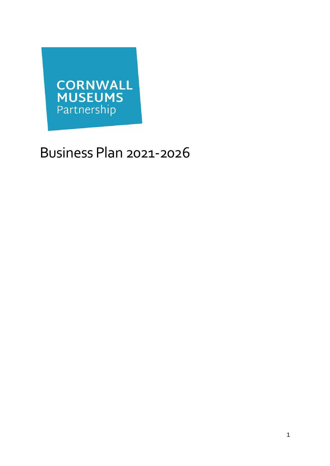

# Business Plan 2021-2026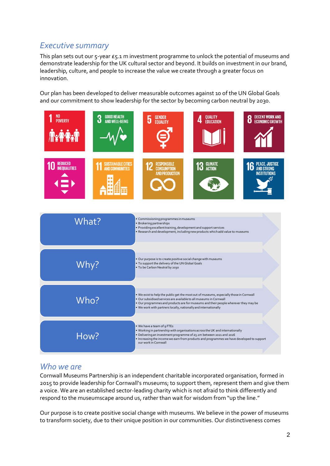# *Executive summary*

This plan sets out our 5-year £5.1 m investment programme to unlock the potential of museums and demonstrate leadership for the UK cultural sector and beyond. It builds on investment in our brand, leadership, culture, and people to increase the value we create through a greater focus on innovation.

Our plan has been developed to deliver measurable outcomes against 10 of the UN Global Goals and our commitment to show leadership for the sector by becoming carbon neutral by 2030.



## *Who we are*

Cornwall Museums Partnership is an independent charitable incorporated organisation, formed in 2015 to provide leadership for Cornwall's museums; to support them, represent them and give them a voice. We are an established sector-leading charity which is not afraid to think differently and respond to the museumscape around us, rather than wait for wisdom from "up the line."

Our purpose is to create positive social change with museums. We believe in the power of museums to transform society, due to their unique position in our communities. Our distinctiveness comes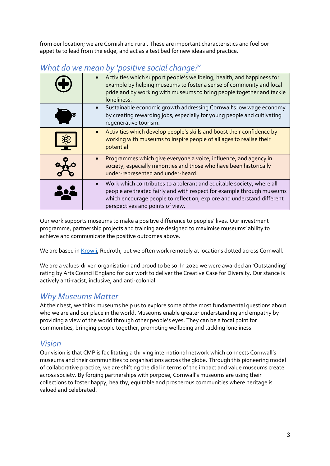from our location; we are Cornish and rural. These are important characteristics and fuel our appetite to lead from the edge, and act as a test bed for new ideas and practice.

|           | Activities which support people's wellbeing, health, and happiness for<br>example by helping museums to foster a sense of community and local<br>pride and by working with museums to bring people together and tackle<br>loneliness.                         |
|-----------|---------------------------------------------------------------------------------------------------------------------------------------------------------------------------------------------------------------------------------------------------------------|
|           | Sustainable economic growth addressing Cornwall's low wage economy<br>by creating rewarding jobs, especially for young people and cultivating<br>regenerative tourism.                                                                                        |
|           | Activities which develop people's skills and boost their confidence by<br>working with museums to inspire people of all ages to realise their<br>potential.                                                                                                   |
|           | Programmes which give everyone a voice, influence, and agency in<br>society, especially minorities and those who have been historically<br>under-represented and under-heard.                                                                                 |
| <b>iQ</b> | Work which contributes to a tolerant and equitable society, where all<br>people are treated fairly and with respect for example through museums<br>which encourage people to reflect on, explore and understand different<br>perspectives and points of view. |

# *What do we mean by 'positive social change?'*

Our work supports museums to make a positive difference to peoples' lives. Our investment programme, partnership projects and training are designed to maximise museums' ability to achieve and communicate the positive outcomes above.

We are based in Krowii, Redruth, but we often work remotely at locations dotted across Cornwall.

We are a values-driven organisation and proud to be so. In 2020 we were awarded an 'Outstanding' rating by Arts Council England for our work to deliver the Creative Case for Diversity. Our stance is actively anti-racist, inclusive, and anti-colonial.

## *Why Museums Matter*

At their best, we think museums help us to explore some of the most fundamental questions about who we are and our place in the world. Museums enable greater understanding and empathy by providing a view of the world through other people's eyes. They can be a focal point for communities, bringing people together, promoting wellbeing and tackling loneliness.

## *Vision*

Our vision is that CMP is facilitating a thriving international network which connects Cornwall's museums and their communities to organisations across the globe. Through this pioneering model of collaborative practice, we are shifting the dial in terms of the impact and value museums create across society. By forging partnerships with purpose, Cornwall's museums are using their collections to foster happy, healthy, equitable and prosperous communities where heritage is valued and celebrated.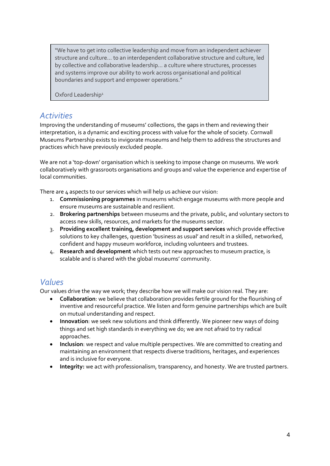"We have to get into collective leadership and move from an independent achiever structure and culture… to an interdependent collaborative structure and culture, led by collective and collaborative leadership… a culture where structures, processes and systems improve our ability to work across organisational and political boundaries and support and empower operations."

Oxford Leadership<sup>1</sup>

## *Activities*

Improving the understanding of museums' collections, the gaps in them and reviewing their interpretation, is a dynamic and exciting process with value for the whole of society. Cornwall Museums Partnership exists to invigorate museums and help them to address the structures and practices which have previously excluded people.

We are not a 'top-down' organisation which is seeking to impose change on museums. We work collaboratively with grassroots organisations and groups and value the experience and expertise of local communities.

There are 4 aspects to our services which will help us achieve our vision:

- 1. **Commissioning programmes** in museums which engage museums with more people and ensure museums are sustainable and resilient.
- 2. **Brokering partnerships** between museums and the private, public, and voluntary sectors to access new skills, resources, and markets for the museums sector.
- 3. **Providing excellent training, development and support services** which provide effective solutions to key challenges, question 'business as usual' and result in a skilled, networked, confident and happy museum workforce, including volunteers and trustees.
- 4. **Research and development** which tests out new approaches to museum practice, is scalable and is shared with the global museums' community.

## *Values*

Our values drive the way we work; they describe how we will make our vision real. They are:

- **Collaboration**: we believe that collaboration provides fertile ground for the flourishing of inventive and resourceful practice. We listen and form genuine partnerships which are built on mutual understanding and respect.
- **Innovation**: we seek new solutions and think differently. We pioneer new ways of doing things and set high standards in everything we do; we are not afraid to try radical approaches.
- **Inclusion**: we respect and value multiple perspectives. We are committed to creating and maintaining an environment that respects diverse traditions, heritages, and experiences and is inclusive for everyone.
- **Integrity:** we act with professionalism, transparency, and honesty. We are trusted partners.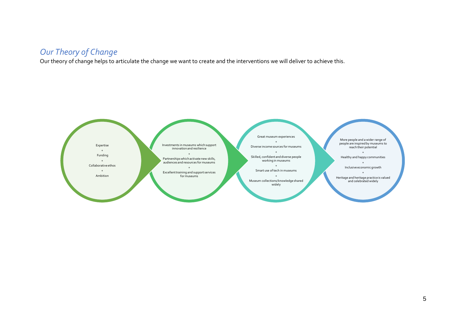# *Our Theory of Change*

Our theory of change helps to articulate the change we want to create and the interventions we will deliver to achieve this.

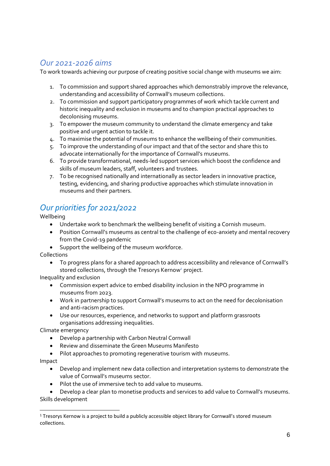# *Our 2021-2026 aims*

To work towards achieving our purpose of creating positive social change with museums we aim:

- 1. To commission and support shared approaches which demonstrably improve the relevance, understanding and accessibility of Cornwall's museum collections.
- 2. To commission and support participatory programmes of work which tackle current and historic inequality and exclusion in museums and to champion practical approaches to decolonising museums.
- 3. To empower the museum community to understand the climate emergency and take positive and urgent action to tackle it.
- 4. To maximise the potential of museums to enhance the wellbeing of their communities.
- 5. To improve the understanding of our impact and that of the sector and share this to advocate internationally for the importance of Cornwall's museums.
- 6. To provide transformational, needs-led support services which boost the confidence and skills of museum leaders, staff, volunteers and trustees.
- 7. To be recognised nationally and internationally as sector leaders in innovative practice, testing, evidencing, and sharing productive approaches which stimulate innovation in museums and their partners.

# *Our priorities for 2021/2022*

Wellbeing

- Undertake work to benchmark the wellbeing benefit of visiting a Cornish museum.
- Position Cornwall's museums as central to the challenge of eco-anxiety and mental recovery from the Covid-19 pandemic
- Support the wellbeing of the museum workforce.

Collections

• To progress plans for a shared approach to address accessibility and relevance of Cornwall's stored collections, through the Tresorys Kernow*<sup>1</sup>* project.

Inequality and exclusion

- Commission expert advice to embed disability inclusion in the NPO programme in museums from 2023.
- Work in partnership to support Cornwall's museums to act on the need for decolonisation and anti-racism practices.
- Use our resources, experience, and networks to support and platform grassroots organisations addressing inequalities.

Climate emergency

- Develop a partnership with Carbon Neutral Cornwall
- Review and disseminate the Green Museums Manifesto
- Pilot approaches to promoting regenerative tourism with museums.

Impact

- Develop and implement new data collection and interpretation systems to demonstrate the value of Cornwall's museums sector.
- Pilot the use of immersive tech to add value to museums.

• Develop a clear plan to monetise products and services to add value to Cornwall's museums. Skills development

<sup>&</sup>lt;sup>1</sup> Tresorys Kernow is a project to build a publicly accessible object library for Cornwall's stored museum collections.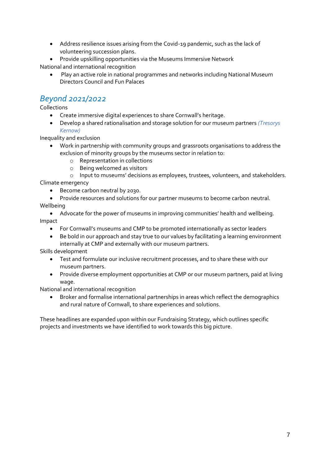- Address resilience issues arising from the Covid-19 pandemic, such as the lack of volunteering succession plans.
- Provide upskilling opportunities via the Museums Immersive Network

National and international recognition

• Play an active role in national programmes and networks including National Museum Directors Council and Fun Palaces

# *Beyond 2021/2022*

Collections

- Create immersive digital experiences to share Cornwall's heritage.
- Develop a shared rationalisation and storage solution for our museum partners *(Tresorys Kernow)*

Inequality and exclusion

- Work in partnership with community groups and grassroots organisations to address the exclusion of minority groups by the museums sector in relation to:
	- o Representation in collections
	- o Being welcomed as visitors

o Input to museums' decisions as employees, trustees, volunteers, and stakeholders.

Climate emergency

• Become carbon neutral by 2030.

• Provide resources and solutions for our partner museums to become carbon neutral. Wellbeing

• Advocate for the power of museums in improving communities' health and wellbeing. Impact

- For Cornwall's museums and CMP to be promoted internationally as sector leaders
- Be bold in our approach and stay true to our values by facilitating a learning environment internally at CMP and externally with our museum partners.

Skills development

- Test and formulate our inclusive recruitment processes, and to share these with our museum partners.
- Provide diverse employment opportunities at CMP or our museum partners, paid at living wage.

National and international recognition

• Broker and formalise international partnerships in areas which reflect the demographics and rural nature of Cornwall, to share experiences and solutions.

These headlines are expanded upon within our Fundraising Strategy, which outlines specific projects and investments we have identified to work towards this big picture.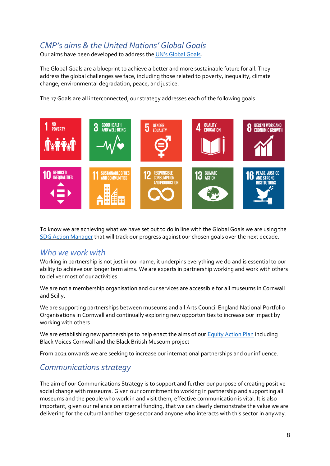# *CMP's aims & the United Nations' Global Goals*

Our aims have been developed to address the UN's [Global](https://www.globalgoals.org/) Goals.

The Global Goals are a blueprint to achieve a better and more sustainable future for all. They address the global challenges we face, including those related to poverty, inequality, climate change, environmental degradation, peace, and justice.

The 17 Goals are all interconnected, our strategy addresses each of the following goals.



To know we are achieving what we have set out to do in line with the Global Goals we are using the SDG Action [Manager](https://bcorporation.uk/welcome-sdg-action-manager-uk) that will track our progress against our chosen goals over the next decade.

## *Who we work with*

Working in partnership is not just in our name, it underpins everything we do and is essential to our ability to achieve our longer term aims. We are experts in partnership working and work with others to deliver most of our activities.

We are not a membership organisation and our services are accessible for all museums in Cornwall and Scilly.

We are supporting partnerships between museums and all Arts Council England National Portfolio Organisations in Cornwall and continually exploring new opportunities to increase our impact by working with others.

We are establishing new partnerships to help enact the aims of ou[r Equity Action Plan](https://trello.com/b/D7gPnUBe/cornwall-museums-partnerships-equity-action-plan-2020-21) including Black Voices Cornwall and the Black British Museum project

From 2021 onwards we are seeking to increase our international partnerships and our influence.

## *Communications strategy*

The aim of our Communications Strategy is to support and further our purpose of creating positive social change with museums. Given our commitment to working in partnership and supporting all museums and the people who work in and visit them, effective communication is vital. It is also important, given our reliance on external funding, that we can clearly demonstrate the value we are delivering for the cultural and heritage sector and anyone who interacts with this sector in anyway.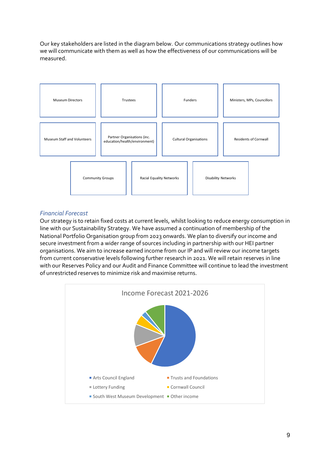Our key stakeholders are listed in the diagram below. Our communications strategy outlines how we will communicate with them as well as how the effectiveness of our communications will be measured.



#### *Financial Forecast*

Our strategy is to retain fixed costs at current levels, whilst looking to reduce energy consumption in line with our Sustainability Strategy. We have assumed a continuation of membership of the National Portfolio Organisation group from 2023 onwards. We plan to diversify our income and secure investment from a wider range of sources including in partnership with our HEI partner organisations. We aim to increase earned income from our IP and will review our income targets from current conservative levels following further research in 2021. We will retain reserves in line with our Reserves Policy and our Audit and Finance Committee will continue to lead the investment of unrestricted reserves to minimize risk and maximise returns.